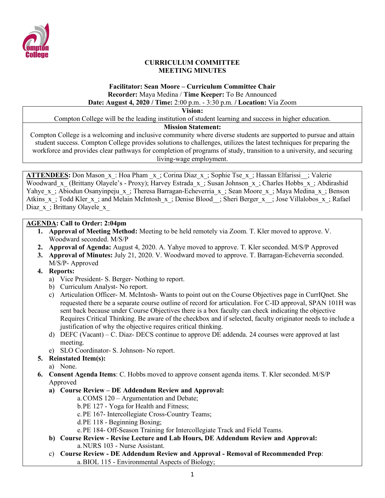

#### **CURRICULUM COMMITTEE MEETING MINUTES**

#### **Facilitator: Sean Moore – Curriculum Committee Chair Recorder:** Maya Medina / **Time Keeper:** To Be Announced **Date: August 4, 2020 / Time:** 2:00 p.m. - 3:30 p.m. **/ Location:** Via Zoom

**Vision:**

Compton College will be the leading institution of student learning and success in higher education.

### **Mission Statement:**

Compton College is a welcoming and inclusive community where diverse students are supported to pursue and attain student success. Compton College provides solutions to challenges, utilizes the latest techniques for preparing the workforce and provides clear pathways for completion of programs of study, transition to a university, and securing living-wage employment.

ATTENDEES: Don Mason x: Hoa Pham x; Corina Diaz x; Sophie Tse x; Hassan Elfarissi ; Valerie Woodward x (Brittany Olayele's - Proxy); Harvey Estrada x; Susan Johnson x; Charles Hobbs x; Abdirashid Yahye x; Abiodun Osanyinpeju x; Theresa Barragan-Echeverria x; Sean Moore x; Maya Medina x; Benson Atkins\_x\_; Todd Kler\_x\_; and Melain McIntosh\_x\_; Denise Blood\_\_; Sheri Berger\_x\_\_; Jose Villalobos\_x\_; Rafael Diaz x; Brittany Olayele x

### **AGENDA: Call to Order: 2:04pm**

- **1. Approval of Meeting Method:** Meeting to be held remotely via Zoom. T. Kler moved to approve. V. Woodward seconded. M/S/P
- **2. Approval of Agenda:** August 4, 2020. A. Yahye moved to approve. T. Kler seconded. M/S/P Approved
- **3. Approval of Minutes:** July 21, 2020. V. Woodward moved to approve. T. Barragan-Echeverria seconded. M/S/P- Approved
- **4. Reports:**
	- a) Vice President- S. Berger- Nothing to report.
	- b) Curriculum Analyst- No report.
	- c) Articulation Officer- M. McIntosh- Wants to point out on the Course Objectives page in CurrIQnet. She requested there be a separate course outline of record for articulation. For C-ID approval, SPAN 101H was sent back because under Course Objectives there is a box faculty can check indicating the objective Requires Critical Thinking. Be aware of the checkbox and if selected, faculty originator needs to include a justification of why the objective requires critical thinking.
	- d) DEFC (Vacant) C. Diaz- DECS continue to approve DE addenda. 24 courses were approved at last meeting.
	- e) SLO Coordinator- S. Johnson- No report.

### **5. Reinstated Item(s):**

- a) None.
- **6. Consent Agenda Items**: C. Hobbs moved to approve consent agenda items. T. Kler seconded. M/S/P Approved
	- **a) Course Review – DE Addendum Review and Approval:** 
		- a.COMS 120 Argumentation and Debate;
		- b.PE 127 Yoga for Health and Fitness;
		- c.PE 167- Intercollegiate Cross-Country Teams;
		- d.PE 118 Beginning Boxing;
		- e.PE 184- Off-Season Training for Intercollegiate Track and Field Teams.
	- **b) Course Review - Revise Lecture and Lab Hours, DE Addendum Review and Approval:** a.NURS 103 - Nurse Assistant.
	- c) **Course Review - DE Addendum Review and Approval - Removal of Recommended Prep**: a.BIOL 115 - Environmental Aspects of Biology;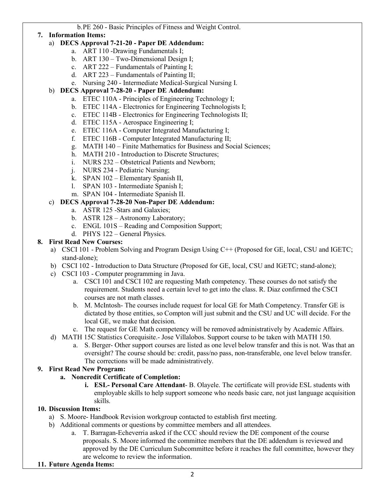b.PE 260 - Basic Principles of Fitness and Weight Control.

## **7. Information Items:**

### a) **DECS Approval 7-21-20 - Paper DE Addendum:**

- a. ART 110 -Drawing Fundamentals I;
- b. ART 130 Two-Dimensional Design I;
- c. ART 222 Fundamentals of Painting I;
- d. ART 223 Fundamentals of Painting II;
- e. Nursing 240 Intermediate Medical-Surgical Nursing I.

# b) **DECS Approval 7-28-20 - Paper DE Addendum:**

- a. ETEC 110A Principles of Engineering Technology I;
- b. ETEC 114A Electronics for Engineering Technologists I;
- c. ETEC 114B Electronics for Engineering Technologists II;
- d. ETEC 115A Aerospace Engineering I;
- e. ETEC 116A Computer Integrated Manufacturing I;
- f. ETEC 116B Computer Integrated Manufacturing II;
- g. MATH 140 Finite Mathematics for Business and Social Sciences;
- h. MATH 210 Introduction to Discrete Structures;
- i. NURS 232 Obstetrical Patients and Newborn;
- j. NURS 234 Pediatric Nursing;
- k. SPAN 102 Elementary Spanish II,
- l. SPAN 103 Intermediate Spanish I;
- m. SPAN 104 Intermediate Spanish II.

# c) **DECS Approval 7-28-20 Non-Paper DE Addendum:**

- a. ASTR 125 -Stars and Galaxies;
- b. ASTR 128 Astronomy Laboratory;
- c. ENGL 101S Reading and Composition Support;
- d. PHYS 122 General Physics.

## **8. First Read New Courses:**

- a) CSCI 101 Problem Solving and Program Design Using C++ (Proposed for GE, local, CSU and IGETC; stand-alone);
- b) CSCI 102 Introduction to Data Structure (Proposed for GE, local, CSU and IGETC; stand-alone);
- c) CSCI 103 Computer programming in Java.
	- a. CSCI 101 and CSCI 102 are requesting Math competency. These courses do not satisfy the requirement. Students need a certain level to get into the class. R. Diaz confirmed the CSCI courses are not math classes.
	- b. M. McIntosh- The courses include request for local GE for Math Competency. Transfer GE is dictated by those entities, so Compton will just submit and the CSU and UC will decide. For the local GE, we make that decision.
	- c. The request for GE Math competency will be removed administratively by Academic Affairs.
- d) MATH 15C Statistics Corequisite.- Jose Villalobos. Support course to be taken with MATH 150.
	- a. S. Berger- Other support courses are listed as one level below transfer and this is not. Was that an oversight? The course should be: credit, pass/no pass, non-transferable, one level below transfer. The corrections will be made administratively.

## **9. First Read New Program:**

- **a. Noncredit Certificate of Completion:** 
	- **i. ESL- Personal Care Attendant** B. Olayele. The certificate will provide ESL students with employable skills to help support someone who needs basic care, not just language acquisition skills.

### **10. Discussion Items:**

- a) S. Moore- Handbook Revision workgroup contacted to establish first meeting.
- b) Additional comments or questions by committee members and all attendees.
	- a. T. Barragan-Echeverria asked if the CCC should review the DE component of the course proposals. S. Moore informed the committee members that the DE addendum is reviewed and approved by the DE Curriculum Subcommittee before it reaches the full committee, however they are welcome to review the information.
- **11. Future Agenda Items:**